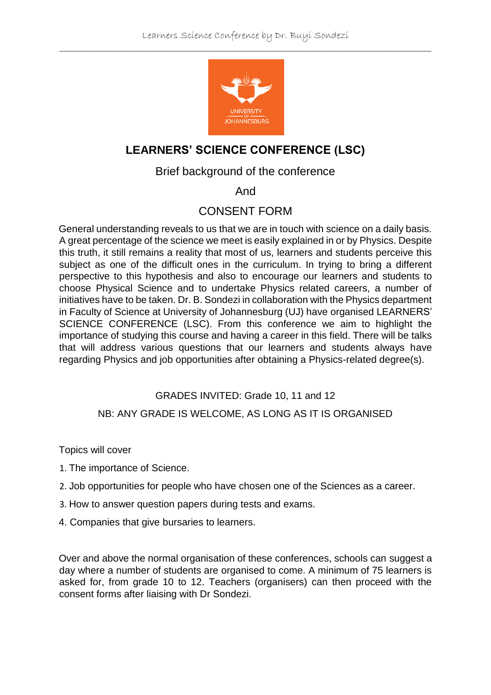

# **LEARNERS' SCIENCE CONFERENCE (LSC)**

#### Brief background of the conference

### And

### CONSENT FORM

General understanding reveals to us that we are in touch with science on a daily basis. A great percentage of the science we meet is easily explained in or by Physics. Despite this truth, it still remains a reality that most of us, learners and students perceive this subject as one of the difficult ones in the curriculum. In trying to bring a different perspective to this hypothesis and also to encourage our learners and students to choose Physical Science and to undertake Physics related careers, a number of initiatives have to be taken. Dr. B. Sondezi in collaboration with the Physics department in Faculty of Science at University of Johannesburg (UJ) have organised LEARNERS' SCIENCE CONFERENCE (LSC). From this conference we aim to highlight the importance of studying this course and having a career in this field. There will be talks that will address various questions that our learners and students always have regarding Physics and job opportunities after obtaining a Physics-related degree(s).

#### GRADES INVITED: Grade 10, 11 and 12

#### NB: ANY GRADE IS WELCOME, AS LONG AS IT IS ORGANISED

Topics will cover

- 1. The importance of Science.
- 2. Job opportunities for people who have chosen one of the Sciences as a career.
- 3. How to answer question papers during tests and exams.
- 4. Companies that give bursaries to learners.

Over and above the normal organisation of these conferences, schools can suggest a day where a number of students are organised to come. A minimum of 75 learners is asked for, from grade 10 to 12. Teachers (organisers) can then proceed with the consent forms after liaising with Dr Sondezi.